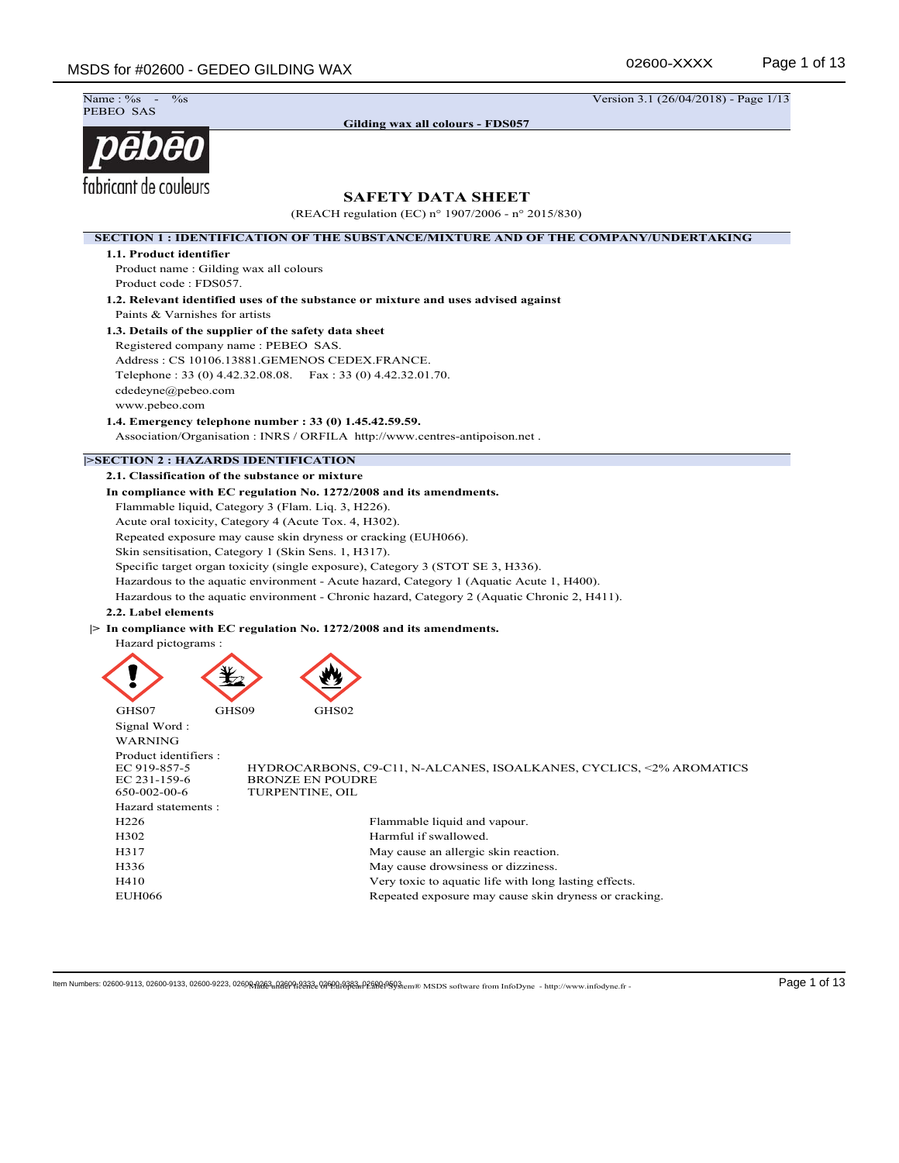Name: %<br>PEBEO SAS

**Gilding wax all colours - FDS057**

 $\frac{9}{8}$  Version 3.1 (26/04/2018) - Page 1/13

# pēbēo fabricant de couleurs

# **SAFETY DATA SHEET**

(REACH regulation (EC) n° 1907/2006 - n° 2015/830)

**SECTION 1 : IDENTIFICATION OF THE SUBSTANCE/MIXTURE AND OF THE COMPANY/UNDERTAKING 1.1. Product identifier** Product name : Gilding wax all colours Product code : FDS057. **1.2. Relevant identified uses of the substance or mixture and uses advised against** Paints & Varnishes for artists **1.3. Details of the supplier of the safety data sheet** Registered company name : PEBEO SAS. Address : CS 10106.13881.GEMENOS CEDEX.FRANCE. Telephone : 33 (0) 4.42.32.08.08. Fax : 33 (0) 4.42.32.01.70. cdedeyne@pebeo.com www.pebeo.com **1.4. Emergency telephone number : 33 (0) 1.45.42.59.59.** Association/Organisation : INRS / ORFILA http://www.centres-antipoison.net . **|>SECTION 2 : HAZARDS IDENTIFICATION 2.1. Classification of the substance or mixture In compliance with EC regulation No. 1272/2008 and its amendments.** Flammable liquid, Category 3 (Flam. Liq. 3, H226). Acute oral toxicity, Category 4 (Acute Tox. 4, H302). Repeated exposure may cause skin dryness or cracking (EUH066). Skin sensitisation, Category 1 (Skin Sens. 1, H317). Specific target organ toxicity (single exposure), Category 3 (STOT SE 3, H336). Hazardous to the aquatic environment - Acute hazard, Category 1 (Aquatic Acute 1, H400). Hazardous to the aquatic environment - Chronic hazard, Category 2 (Aquatic Chronic 2, H411). **2.2. Label elements |> In compliance with EC regulation No. 1272/2008 and its amendments.** Hazard pictograms : GHS07 GHS09 GHS02 Signal Word : WARNING Product identifiers :<br>EC 919-857-5 EC 919-857-5 HYDROCARBONS, C9-C11, N-ALCANES, ISOALKANES, CYCLICS, <2% AROMATICS EC 231-159-6 BRONZE EN POUDRE<br>650-002-00-6 TURPENTINE, OIL TURPENTINE, OIL Hazard statements : H226 Flammable liquid and vapour. H302 Harmful if swallowed. H317 May cause an allergic skin reaction. H336 May cause drowsiness or dizziness. H410 Very toxic to aquatic life with long lasting effects. EUH066 Repeated exposure may cause skin dryness or cracking.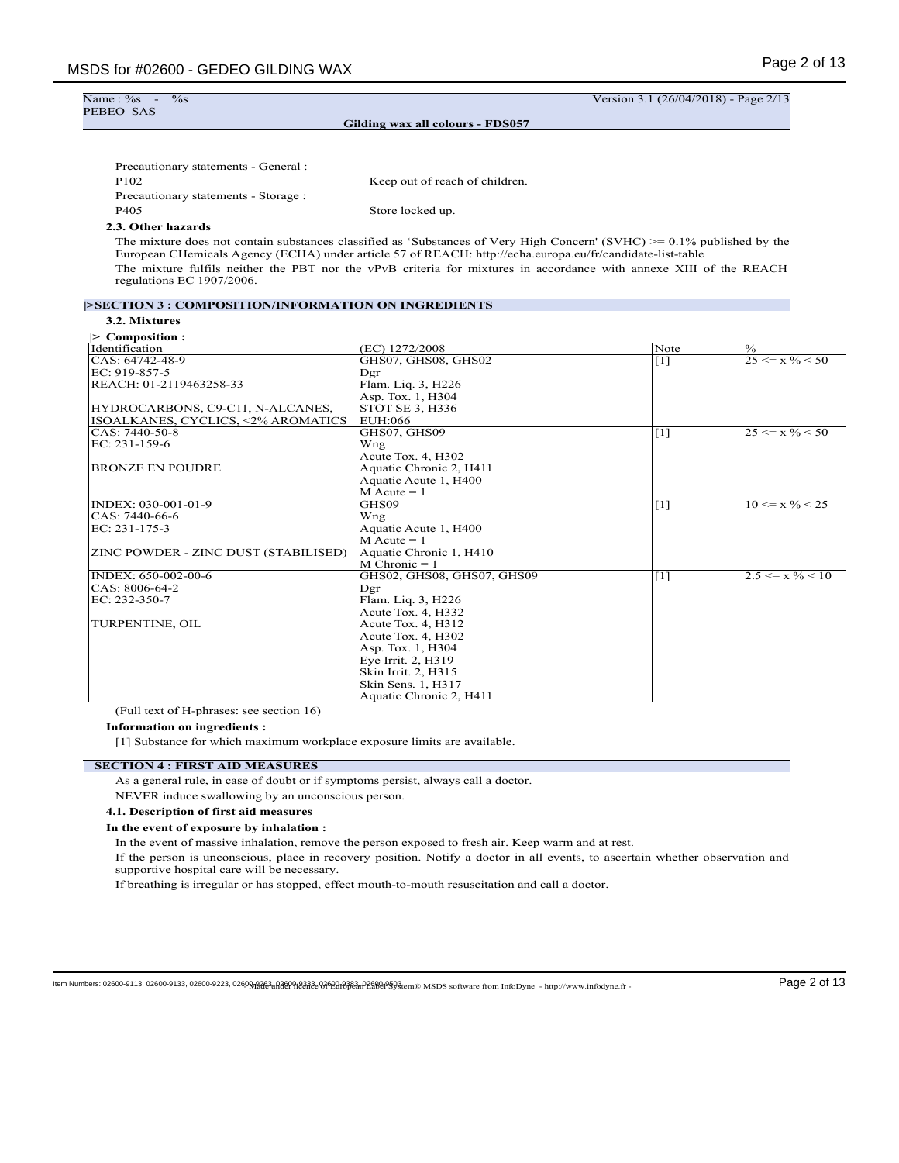| Name: $\%s$ -<br>$\%$ s                                   |                                                                                                                                                                                                                                           |  | Version 3.1 (26/04/2018) - Page 2/13 |  |  |  |  |
|-----------------------------------------------------------|-------------------------------------------------------------------------------------------------------------------------------------------------------------------------------------------------------------------------------------------|--|--------------------------------------|--|--|--|--|
| PEBEO SAS                                                 |                                                                                                                                                                                                                                           |  |                                      |  |  |  |  |
|                                                           | Gilding wax all colours - FDS057                                                                                                                                                                                                          |  |                                      |  |  |  |  |
|                                                           |                                                                                                                                                                                                                                           |  |                                      |  |  |  |  |
| Precautionary statements - General :                      |                                                                                                                                                                                                                                           |  |                                      |  |  |  |  |
| P <sub>102</sub>                                          | Keep out of reach of children.                                                                                                                                                                                                            |  |                                      |  |  |  |  |
| Precautionary statements - Storage :                      |                                                                                                                                                                                                                                           |  |                                      |  |  |  |  |
| P405                                                      | Store locked up.                                                                                                                                                                                                                          |  |                                      |  |  |  |  |
| 2.3. Other hazards                                        |                                                                                                                                                                                                                                           |  |                                      |  |  |  |  |
|                                                           | The mixture does not contain substances classified as 'Substances of Very High Concern' (SVHC) $\ge$ = 0.1% published by the<br>European CHemicals Agency (ECHA) under article 57 of REACH: http://echa.europa.eu/fr/candidate-list-table |  |                                      |  |  |  |  |
| regulations EC 1907/2006.                                 | The mixture fulfils neither the PBT nor the vPvB criteria for mixtures in accordance with annexe XIII of the REACH                                                                                                                        |  |                                      |  |  |  |  |
|                                                           | <b>ESECTION 3 : COMPOSITION/INFORMATION ON INGREDIENTS</b>                                                                                                                                                                                |  |                                      |  |  |  |  |
| 3.2. Mixtures                                             |                                                                                                                                                                                                                                           |  |                                      |  |  |  |  |
| Composition :                                             |                                                                                                                                                                                                                                           |  |                                      |  |  |  |  |
| Identification<br>$\frac{9}{6}$<br>(EC) 1272/2008<br>Note |                                                                                                                                                                                                                                           |  |                                      |  |  |  |  |

| Identification                       | (EC) 1272/2008             | Note              | $\frac{0}{6}$                 |
|--------------------------------------|----------------------------|-------------------|-------------------------------|
| CAS: 64742-48-9                      | GHS07, GHS08, GHS02        | $\lceil 1 \rceil$ | $25 \le x \% \le 50$          |
| EC: 919-857-5                        | Dgr                        |                   |                               |
| REACH: 01-2119463258-33              | Flam. Liq. 3, H226         |                   |                               |
|                                      | Asp. Tox. 1, H304          |                   |                               |
| HYDROCARBONS, C9-C11, N-ALCANES,     | STOT SE 3, H336            |                   |                               |
| ISOALKANES, CYCLICS, <2% AROMATICS   | EUH:066                    |                   |                               |
| CAS: 7440-50-8                       | GHS07. GHS09               | [1]               | $25 \le x \% \le 50$          |
| $EC: 231-159-6$                      | Wng                        |                   |                               |
|                                      | Acute Tox. 4, H302         |                   |                               |
| <b>BRONZE EN POUDRE</b>              | Aquatic Chronic 2, H411    |                   |                               |
|                                      | Aquatic Acute 1, H400      |                   |                               |
|                                      | $M$ Acute = 1              |                   |                               |
| INDEX: 030-001-01-9                  | GHS09                      | [1]               | $10 \le x \frac{9}{6} \le 25$ |
| CAS: 7440-66-6                       | Wng                        |                   |                               |
| EC: 231-175-3                        | Aquatic Acute 1, H400      |                   |                               |
|                                      | $M$ Acute = 1              |                   |                               |
| ZINC POWDER - ZINC DUST (STABILISED) | Aquatic Chronic 1, H410    |                   |                               |
|                                      | $M$ Chronic = 1            |                   |                               |
| INDEX: 650-002-00-6                  | GHS02, GHS08, GHS07, GHS09 | [1]               | $2.5 \le x \frac{9}{6} < 10$  |
| CAS: 8006-64-2                       | Dgr                        |                   |                               |
| EC: 232-350-7                        | Flam. Liq. 3, H226         |                   |                               |
|                                      | Acute Tox. 4, H332         |                   |                               |
| TURPENTINE, OIL                      | Acute Tox. 4, H312         |                   |                               |
|                                      | Acute Tox. 4, H302         |                   |                               |
|                                      | Asp. Tox. 1, H304          |                   |                               |
|                                      | Eye Irrit. 2, H319         |                   |                               |
|                                      | Skin Irrit. 2, H315        |                   |                               |
|                                      | Skin Sens. 1, H317         |                   |                               |
|                                      | Aquatic Chronic 2, H411    |                   |                               |

(Full text of H-phrases: see section 16)

**Information on ingredients :**

[1] Substance for which maximum workplace exposure limits are available.

# **SECTION 4 : FIRST AID MEASURES**

As a general rule, in case of doubt or if symptoms persist, always call a doctor.

NEVER induce swallowing by an unconscious person.

#### **4.1. Description of first aid measures**

**In the event of exposure by inhalation :**

In the event of massive inhalation, remove the person exposed to fresh air. Keep warm and at rest.

If the person is unconscious, place in recovery position. Notify a doctor in all events, to ascertain whether observation and supportive hospital care will be necessary.

If breathing is irregular or has stopped, effect mouth-to-mouth resuscitation and call a doctor.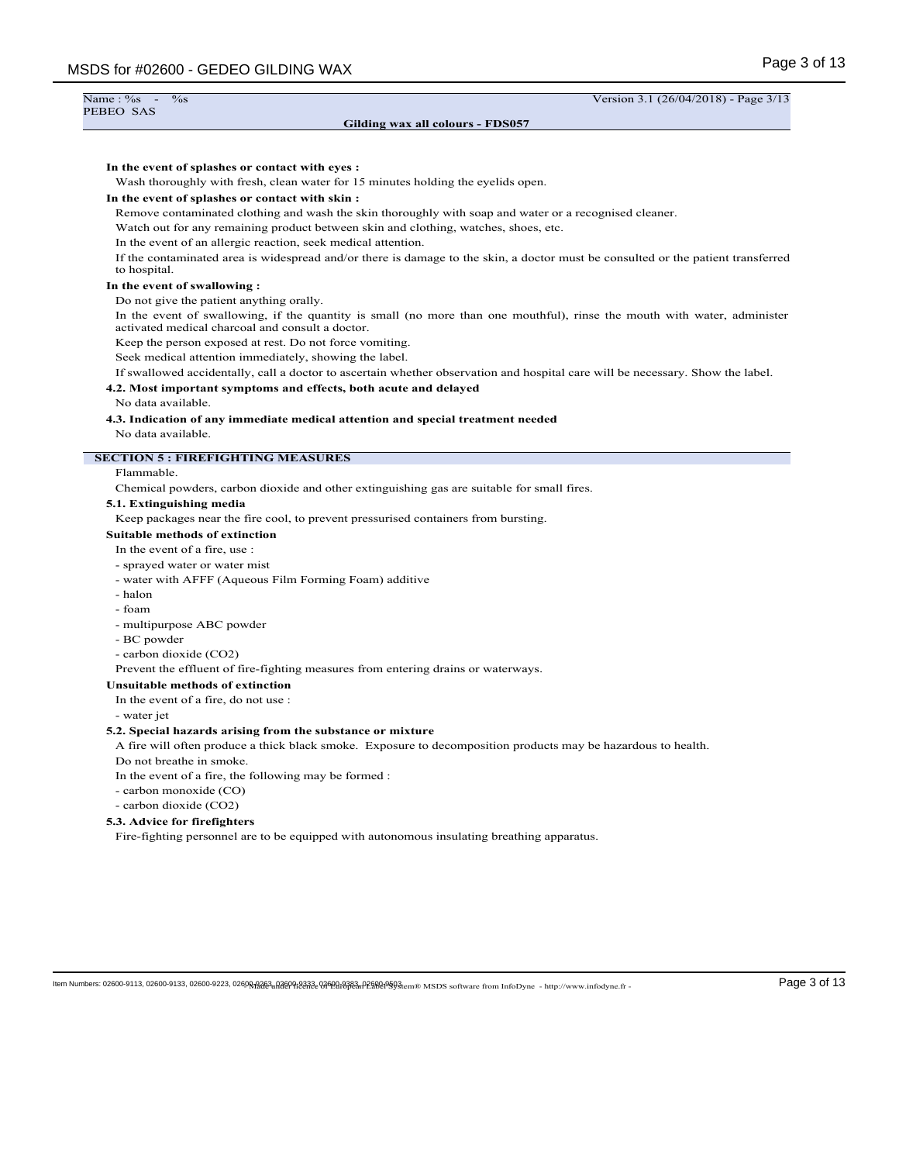| Name: $\%s$ -<br>$\%$ s                               | Version 3.1 (26/04/2018) - Page 3/13                                                                                                                                                              |
|-------------------------------------------------------|---------------------------------------------------------------------------------------------------------------------------------------------------------------------------------------------------|
| PEBEO SAS                                             | Gilding wax all colours - FDS057                                                                                                                                                                  |
|                                                       |                                                                                                                                                                                                   |
| In the event of splashes or contact with eyes :       | Wash thoroughly with fresh, clean water for 15 minutes holding the eyelids open.                                                                                                                  |
| In the event of splashes or contact with skin:        |                                                                                                                                                                                                   |
|                                                       | Remove contaminated clothing and wash the skin thoroughly with soap and water or a recognised cleaner.                                                                                            |
|                                                       | Watch out for any remaining product between skin and clothing, watches, shoes, etc.                                                                                                               |
|                                                       | In the event of an allergic reaction, seek medical attention.<br>If the contaminated area is widespread and/or there is damage to the skin, a doctor must be consulted or the patient transferred |
| to hospital.                                          |                                                                                                                                                                                                   |
| In the event of swallowing:                           |                                                                                                                                                                                                   |
| Do not give the patient anything orally.              |                                                                                                                                                                                                   |
| activated medical charcoal and consult a doctor.      | In the event of swallowing, if the quantity is small (no more than one mouthful), rinse the mouth with water, administer                                                                          |
|                                                       | Keep the person exposed at rest. Do not force vomiting.<br>Seek medical attention immediately, showing the label.                                                                                 |
|                                                       | If swallowed accidentally, call a doctor to ascertain whether observation and hospital care will be necessary. Show the label.                                                                    |
|                                                       | 4.2. Most important symptoms and effects, both acute and delayed                                                                                                                                  |
| No data available.                                    |                                                                                                                                                                                                   |
|                                                       | 4.3. Indication of any immediate medical attention and special treatment needed                                                                                                                   |
| No data available.                                    |                                                                                                                                                                                                   |
| <b>SECTION 5: FIREFIGHTING MEASURES</b>               |                                                                                                                                                                                                   |
| Flammable.                                            | Chemical powders, carbon dioxide and other extinguishing gas are suitable for small fires.                                                                                                        |
| 5.1. Extinguishing media                              |                                                                                                                                                                                                   |
|                                                       | Keep packages near the fire cool, to prevent pressurised containers from bursting.                                                                                                                |
| <b>Suitable methods of extinction</b>                 |                                                                                                                                                                                                   |
| In the event of a fire, use :                         |                                                                                                                                                                                                   |
| - sprayed water or water mist                         |                                                                                                                                                                                                   |
|                                                       | - water with AFFF (Aqueous Film Forming Foam) additive                                                                                                                                            |
| - halon                                               |                                                                                                                                                                                                   |
| - foam                                                |                                                                                                                                                                                                   |
| - multipurpose ABC powder<br>- BC powder              |                                                                                                                                                                                                   |
| - carbon dioxide (CO2)                                |                                                                                                                                                                                                   |
|                                                       | Prevent the effluent of fire-fighting measures from entering drains or waterways.                                                                                                                 |
| Unsuitable methods of extinction                      |                                                                                                                                                                                                   |
| In the event of a fire, do not use :                  |                                                                                                                                                                                                   |
| - water jet                                           |                                                                                                                                                                                                   |
|                                                       | 5.2. Special hazards arising from the substance or mixture<br>A fire will often produce a thick black smoke. Exposure to decomposition products may be hazardous to health.                       |
| Do not breathe in smoke.                              |                                                                                                                                                                                                   |
| In the event of a fire, the following may be formed : |                                                                                                                                                                                                   |
| - carbon monoxide (CO)                                |                                                                                                                                                                                                   |
| - carbon dioxide (CO2)                                |                                                                                                                                                                                                   |
| 5.3. Advice for firefighters                          |                                                                                                                                                                                                   |
|                                                       | Fire-fighting personnel are to be equipped with autonomous insulating breathing apparatus.                                                                                                        |
|                                                       |                                                                                                                                                                                                   |
|                                                       |                                                                                                                                                                                                   |
|                                                       |                                                                                                                                                                                                   |
|                                                       |                                                                                                                                                                                                   |
|                                                       |                                                                                                                                                                                                   |
|                                                       | Page 3 of 13<br>tem Numbers: 02600-9113, 02600-9133, 02600-9223, 02600 <del>,02263 u2869 %3373e 02600 u383 u2800 l993</del> em® MSDS software from InfoDyne - http://www.infodyne.fr -            |
|                                                       |                                                                                                                                                                                                   |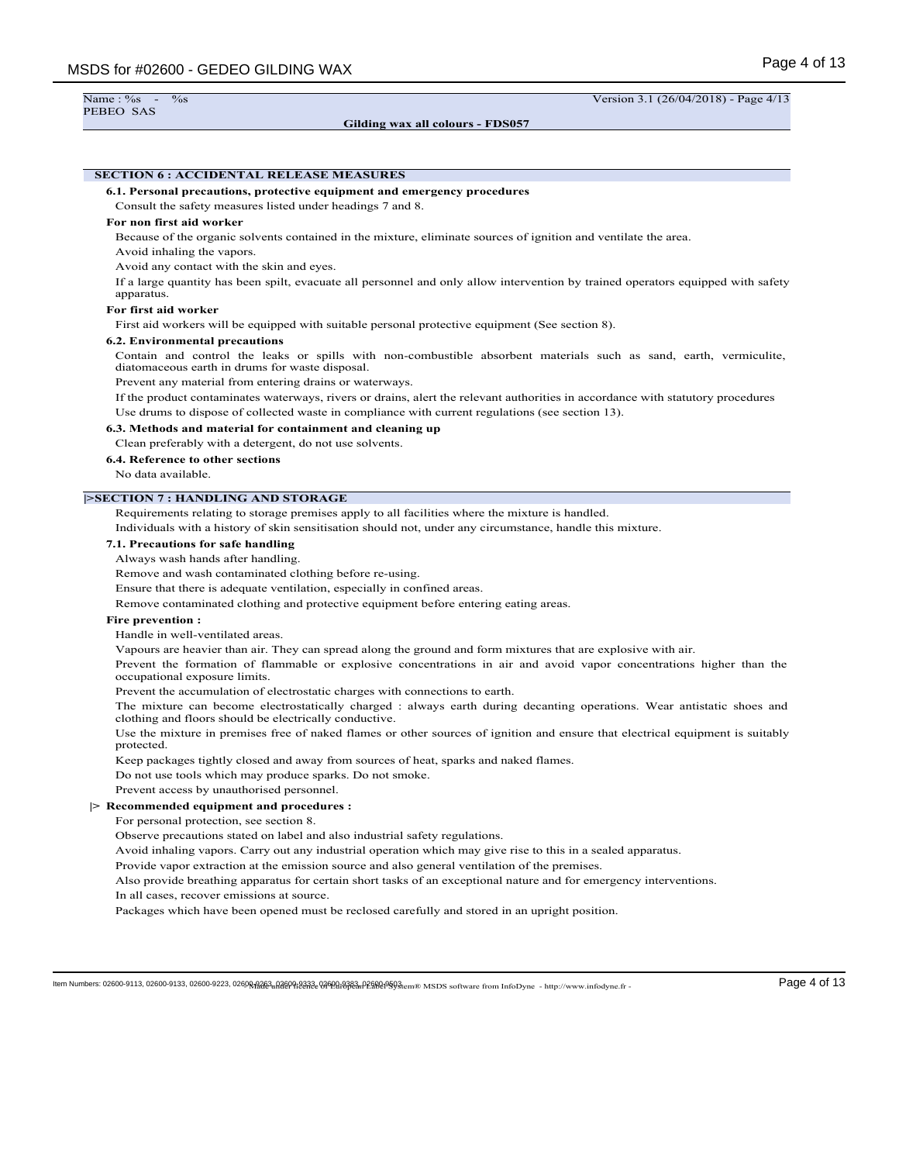**Gilding wax all colours - FDS057**

Name : %s - %s - %s Version 3.1 (26/04/2018) - Page 4/13

# **SECTION 6 : ACCIDENTAL RELEASE MEASURES**

**6.1. Personal precautions, protective equipment and emergency procedures**

Consult the safety measures listed under headings 7 and 8.

# **For non first aid worker**

Because of the organic solvents contained in the mixture, eliminate sources of ignition and ventilate the area.

Avoid inhaling the vapors.

Avoid any contact with the skin and eyes.

If a large quantity has been spilt, evacuate all personnel and only allow intervention by trained operators equipped with safety apparatus.

# **For first aid worker**

First aid workers will be equipped with suitable personal protective equipment (See section 8).

#### **6.2. Environmental precautions**

Contain and control the leaks or spills with non-combustible absorbent materials such as sand, earth, vermiculite, diatomaceous earth in drums for waste disposal.

Prevent any material from entering drains or waterways.

If the product contaminates waterways, rivers or drains, alert the relevant authorities in accordance with statutory procedures Use drums to dispose of collected waste in compliance with current regulations (see section 13).

#### **6.3. Methods and material for containment and cleaning up**

Clean preferably with a detergent, do not use solvents.

**6.4. Reference to other sections**

No data available.

### **|>SECTION 7 : HANDLING AND STORAGE**

Requirements relating to storage premises apply to all facilities where the mixture is handled.

Individuals with a history of skin sensitisation should not, under any circumstance, handle this mixture.

### **7.1. Precautions for safe handling**

Always wash hands after handling.

Remove and wash contaminated clothing before re-using.

Ensure that there is adequate ventilation, especially in confined areas.

Remove contaminated clothing and protective equipment before entering eating areas.

#### **Fire prevention :**

Handle in well-ventilated areas.

Vapours are heavier than air. They can spread along the ground and form mixtures that are explosive with air.

Prevent the formation of flammable or explosive concentrations in air and avoid vapor concentrations higher than the occupational exposure limits.

Prevent the accumulation of electrostatic charges with connections to earth.

The mixture can become electrostatically charged : always earth during decanting operations. Wear antistatic shoes and clothing and floors should be electrically conductive.

Use the mixture in premises free of naked flames or other sources of ignition and ensure that electrical equipment is suitably protected.

Keep packages tightly closed and away from sources of heat, sparks and naked flames.

Do not use tools which may produce sparks. Do not smoke.

Prevent access by unauthorised personnel.

## **|> Recommended equipment and procedures :**

For personal protection, see section 8.

Observe precautions stated on label and also industrial safety regulations.

Avoid inhaling vapors. Carry out any industrial operation which may give rise to this in a sealed apparatus.

Provide vapor extraction at the emission source and also general ventilation of the premises.

Also provide breathing apparatus for certain short tasks of an exceptional nature and for emergency interventions.

In all cases, recover emissions at source.

Packages which have been opened must be reclosed carefully and stored in an upright position.

 $\textbf{Hem Numbers: } 02600-9113, 02600-9133, 02600-9223, 02600-9223, 02600-9223, 02600-9223, 02600-9223, 02600-9223, 02600-9223, 02600-9223, 02600-9233, 02600-9233, 02600-9233, 02600-9233, 02600-9233, 02600-9233, 02600-9233, 02600-$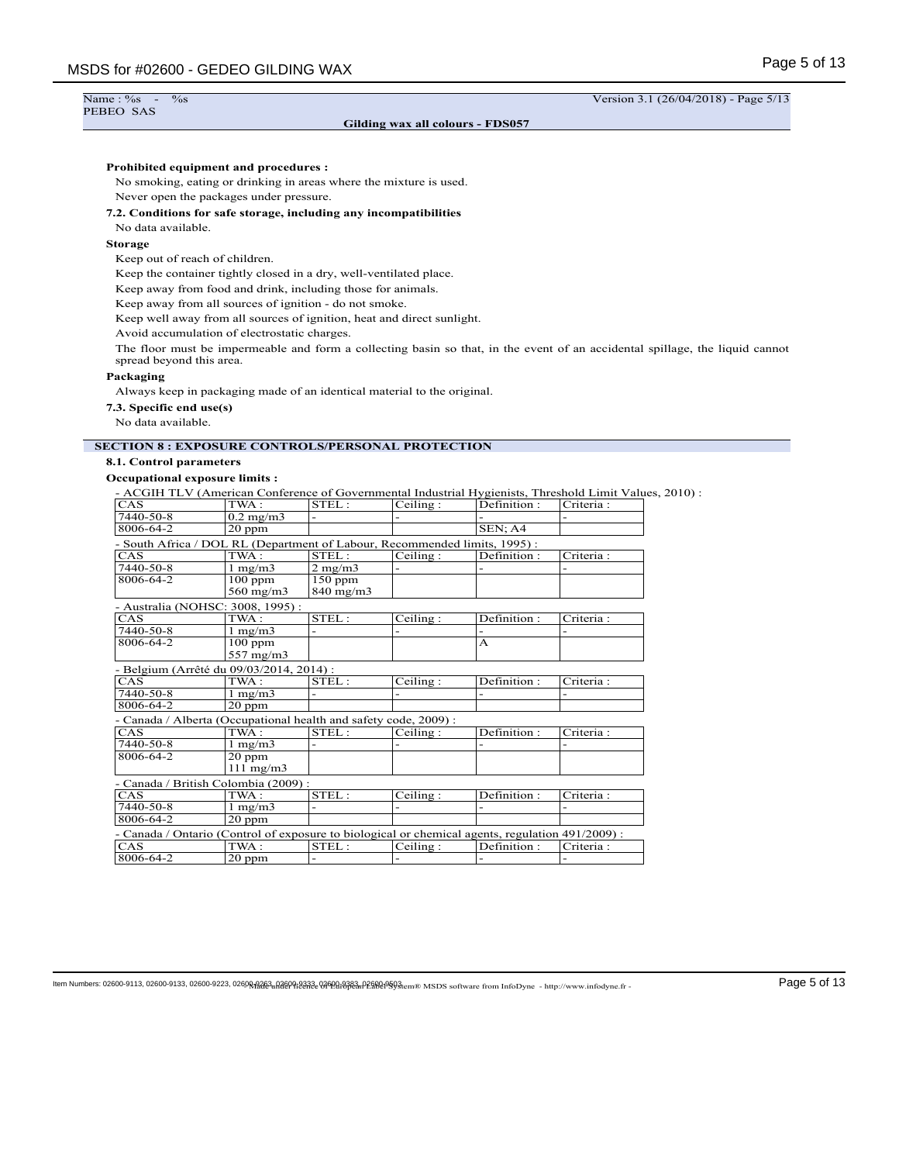## $\%$ s  $\frac{\%}{\%}$  Version 3.1 (26/04/2018) - Page 5/13

## **Gilding wax all colours - FDS057**

# **Prohibited equipment and procedures :**

No smoking, eating or drinking in areas where the mixture is used. Never open the packages under pressure.

#### **7.2. Conditions for safe storage, including any incompatibilities**

No data available.

## **Storage**

Name : %s<br>PEBEO SAS

Keep out of reach of children.

Keep the container tightly closed in a dry, well-ventilated place.

Keep away from food and drink, including those for animals.

Keep away from all sources of ignition - do not smoke.

Keep well away from all sources of ignition, heat and direct sunlight.

Avoid accumulation of electrostatic charges.

The floor must be impermeable and form a collecting basin so that, in the event of an accidental spillage, the liquid cannot spread beyond this area.

## **Packaging**

Always keep in packaging made of an identical material to the original.

**7.3. Specific end use(s)**

No data available.

# **SECTION 8 : EXPOSURE CONTROLS/PERSONAL PROTECTION**

| 8.1. Control parameters                                                                                 |                              |                  |          |             |            |
|---------------------------------------------------------------------------------------------------------|------------------------------|------------------|----------|-------------|------------|
| <b>Occupational exposure limits:</b>                                                                    |                              |                  |          |             |            |
| - ACGIH TLV (American Conference of Governmental Industrial Hygienists, Threshold Limit Values, 2010) : |                              |                  |          |             |            |
| CAS                                                                                                     | TWA:                         | STEL:            | Ceiling: | Definition: | Criteria:  |
| 7440-50-8                                                                                               | $0.2$ mg/m $3$               |                  |          |             |            |
| 8006-64-2                                                                                               | $20$ ppm                     |                  |          | SEN: A4     |            |
| - South Africa / DOL RL (Department of Labour, Recommended limits, 1995) :                              |                              |                  |          |             |            |
| CAS                                                                                                     | TWA:                         | STEL:            | Ceiling: | Definition: | Criteria:  |
| 7440-50-8                                                                                               | $1 \text{ mg/m}$             | $2 \text{ mg/m}$ |          |             |            |
| 8006-64-2                                                                                               | $100$ ppm                    | $150$ ppm        |          |             |            |
|                                                                                                         | $560$ mg/m $3$               | $840$ mg/m $3$   |          |             |            |
| - Australia (NOHSC: 3008, 1995):                                                                        |                              |                  |          |             |            |
| CAS                                                                                                     | TWA:                         | STEL:            | Ceiling: | Definition: | Criteria : |
| 7440-50-8                                                                                               | $1 \text{ mg/m}$             |                  |          |             |            |
| 8006-64-2                                                                                               | $100$ ppm                    |                  |          | A           |            |
|                                                                                                         | 557 mg/m3                    |                  |          |             |            |
| - Belgium (Arrêté du 09/03/2014, 2014) :                                                                |                              |                  |          |             |            |
| CAS                                                                                                     | TWA:                         | STEL:            | Ceiling: | Definition: | Criteria : |
| 7440-50-8                                                                                               | $1 \text{ mg/m}$             |                  |          |             |            |
| 8006-64-2                                                                                               | $20$ ppm                     |                  |          |             |            |
| - Canada / Alberta (Occupational health and safety code, 2009) :                                        |                              |                  |          |             |            |
| CAS                                                                                                     | TWA:                         | STEL:            | Ceiling: | Definition: | Criteria : |
| 7440-50-8                                                                                               | $1 \text{ mg/m}$             |                  |          |             |            |
| 8006-64-2                                                                                               | $20$ ppm                     |                  |          |             |            |
|                                                                                                         |                              |                  |          |             |            |
|                                                                                                         | $111 \text{ mg/m}$           |                  |          |             |            |
|                                                                                                         |                              |                  |          |             |            |
| - Canada / British Colombia (2009) :<br>CAS                                                             | TWA:                         | STEL:            | Ceiling: | Definition: | Criteria:  |
| 7440-50-8                                                                                               |                              |                  |          |             |            |
| 8006-64-2                                                                                               | $1 \text{ mg/m}$<br>$20$ ppm |                  |          |             |            |
|                                                                                                         |                              |                  |          |             |            |
| - Canada / Ontario (Control of exposure to biological or chemical agents, regulation 491/2009) :<br>CAS | $\overline{\text{TWA}}$ :    | STEL:            | Ceiling: | Definition: | Criteria:  |

 $\textbf{[lem Numbers: 02600-9113, 02600-9133, 02600-9223, 02600-9223, 02600-9223, 02600-9223, 02600-9223, 02600-9223, 02600-9223, 02600-9233, 02600-9233, 02600-9233, 02600-9233, 02600-9233, 02600-9233, 02600-9233, 02600-9233, 02600-9$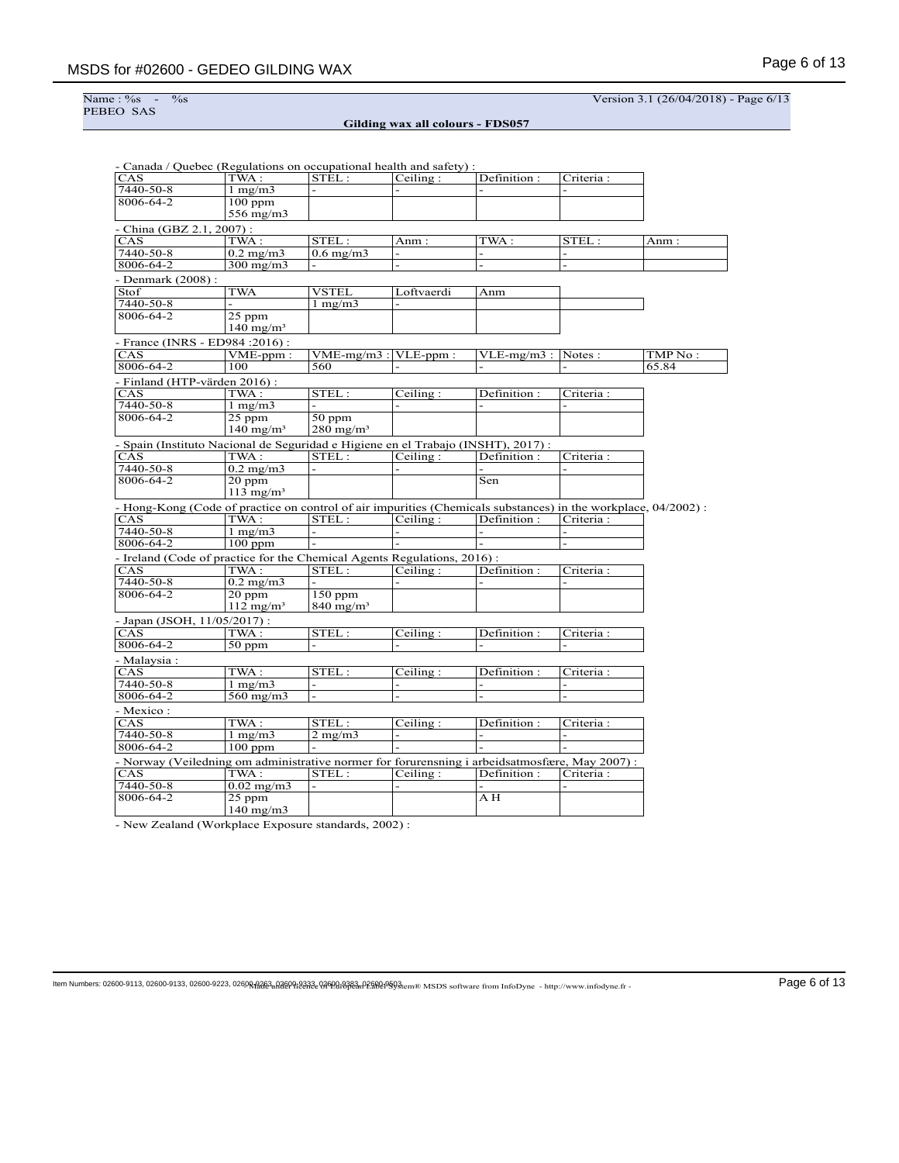Name : %<br>PEBEO SAS

 $\frac{\%}{\%}$  Version 3.1 (26/04/2018) - Page 6/13

**Gilding wax all colours - FDS057**

|                               | - Canada / Quebec (Regulations on occupational health and safety) :                                            |                         |                |                |                          |          |
|-------------------------------|----------------------------------------------------------------------------------------------------------------|-------------------------|----------------|----------------|--------------------------|----------|
| CAS                           | TWA :                                                                                                          | STEL:                   | Ceiling:       | Definition:    | Criteria:                |          |
| 7440-50-8                     | $1 \text{ mg/m}$                                                                                               |                         |                |                |                          |          |
| 8006-64-2                     | $100$ ppm                                                                                                      |                         |                |                |                          |          |
|                               | 556 mg/m3                                                                                                      |                         |                |                |                          |          |
| - China (GBZ 2.1, 2007) :     |                                                                                                                |                         |                |                |                          |          |
| CAS                           | TWA:                                                                                                           | STEL:                   | Anm :          | TWA :          | STEL:                    | Anm :    |
| 7440-50-8                     | $0.2 \text{ mg/m}$                                                                                             | $0.6$ mg/m $3$          |                |                |                          |          |
| 8006-64-2                     | $300$ mg/m $3$                                                                                                 |                         |                |                |                          |          |
| - Denmark (2008) :            |                                                                                                                |                         |                |                |                          |          |
| Stof                          | <b>TWA</b>                                                                                                     | VSTEL                   | Loftvaerdi     | Anm            |                          |          |
| 7440-50-8                     |                                                                                                                | $1 \text{ mg/m}$        |                |                |                          |          |
| 8006-64-2                     | $25$ ppm                                                                                                       |                         |                |                |                          |          |
|                               | $140$ mg/m <sup>3</sup>                                                                                        |                         |                |                |                          |          |
|                               | - France (INRS - ED984:2016):                                                                                  |                         |                |                |                          |          |
| CAS                           | $VME$ -ppm:                                                                                                    | $VME-mg/m3$ :           | VLE-ppm:       | $VLE-mg/m3$ :  | Notes:                   | TMP No : |
| 8006-64-2                     | 100                                                                                                            | 560                     |                |                |                          | 65.84    |
| - Finland (HTP-värden 2016) : |                                                                                                                |                         |                |                |                          |          |
| CAS                           | TWA :                                                                                                          | STEL:                   | Ceiling:       | Definition :   | Criteria :               |          |
| 7440-50-8                     | $1 \text{ mg/m}$                                                                                               |                         |                |                |                          |          |
| 8006-64-2                     | $25$ ppm                                                                                                       | $50$ ppm                |                |                |                          |          |
|                               | $140 \text{ mg/m}^3$                                                                                           | $280 \text{ mg/m}^3$    |                |                |                          |          |
|                               |                                                                                                                |                         |                |                |                          |          |
|                               | - Spain (Instituto Nacional de Seguridad e Higiene en el Trabajo (INSHT), 2017) :<br>TWA:                      |                         |                |                |                          |          |
| CAS<br>7440-50-8              | $0.2 \text{ mg/m}$ 3                                                                                           | STEL:                   | Ceiling:       | Definition:    | Criteria:                |          |
| 8006-64-2                     | $20$ ppm                                                                                                       |                         |                | Sen            |                          |          |
|                               | $113$ mg/m <sup>3</sup>                                                                                        |                         |                |                |                          |          |
|                               |                                                                                                                |                         |                |                |                          |          |
|                               | - Hong-Kong (Code of practice on control of air impurities (Chemicals substances) in the workplace, 04/2002) : |                         |                |                |                          |          |
| CAS                           | TWA:                                                                                                           | STEL:                   | Ceiling:       | Definition:    | Criteria:                |          |
| 7440-50-8<br>8006-64-2        | $1$ mg/m $3$                                                                                                   | $\overline{a}$          | $\overline{a}$ | $\overline{a}$ | $\overline{a}$           |          |
|                               | $100$ ppm                                                                                                      |                         |                |                |                          |          |
|                               | - Ireland (Code of practice for the Chemical Agents Regulations, 2016) :                                       |                         |                |                |                          |          |
| CAS                           | TWA :                                                                                                          | STEL:                   | Ceiling:       | Definition :   | Criteria:                |          |
| 7440-50-8                     | $0.2 \text{ mg/m}$                                                                                             |                         |                |                |                          |          |
| 8006-64-2                     | $20$ ppm                                                                                                       | $150$ ppm               |                |                |                          |          |
|                               | $112 \text{ mg/m}^3$                                                                                           | $840$ mg/m <sup>3</sup> |                |                |                          |          |
| - Japan (JSOH, 11/05/2017) :  |                                                                                                                |                         |                |                |                          |          |
| CAS                           | TWA :                                                                                                          | STEL:                   | Ceiling:       | Definition :   | Criteria:                |          |
| 8006-64-2                     | 50 ppm                                                                                                         |                         |                |                |                          |          |
| - Malaysia :                  |                                                                                                                |                         |                |                |                          |          |
| CAS                           | TWA:                                                                                                           | STEL:                   | Ceiling:       | Definition :   | Criteria :               |          |
| 7440-50-8                     | $1 \text{ mg/m}$                                                                                               |                         |                |                |                          |          |
| 8006-64-2                     | 560 mg/m3                                                                                                      |                         |                |                |                          |          |
| - Mexico :                    |                                                                                                                |                         |                |                |                          |          |
| CAS                           | TWA :                                                                                                          | STEL:                   | Ceiling:       | Definition :   | Criteria :               |          |
| 7440-50-8                     | $1$ mg/m $3$                                                                                                   | $2$ mg/m $3$            |                |                | $\overline{\phantom{0}}$ |          |
| 8006-64-2                     | $100$ ppm                                                                                                      |                         |                |                |                          |          |
|                               | - Norway (Veiledning om administrative normer for forurensning i arbeidsatmosfære, May 2007) :                 |                         |                |                |                          |          |
| CAS                           | TWA :                                                                                                          | STEL:                   | Ceiling:       | Definition :   | Criteria :               |          |
| 7440-50-8                     | $0.02 \text{ mg/m}$ 3                                                                                          |                         |                |                |                          |          |
| 8006-64-2                     | 25 ppm                                                                                                         |                         |                | ΑH             |                          |          |
|                               | $140$ mg/m $3$                                                                                                 |                         |                |                |                          |          |
|                               |                                                                                                                |                         |                |                |                          |          |

- New Zealand (Workplace Exposure standards, 2002) :

 $\textbf{Item Numbers: } 02600-9113, 02600-9133, 02600-9223, 02600-9223, 02600-9223, 02600-9223, 02600-9223, 02600-9223, 02600-9223, 02600-9233, 02600-9233, 02600-9233, 02600-9233, 02600-9233, 02600-9233, 02600-9233, 02600-9233, 02600-9$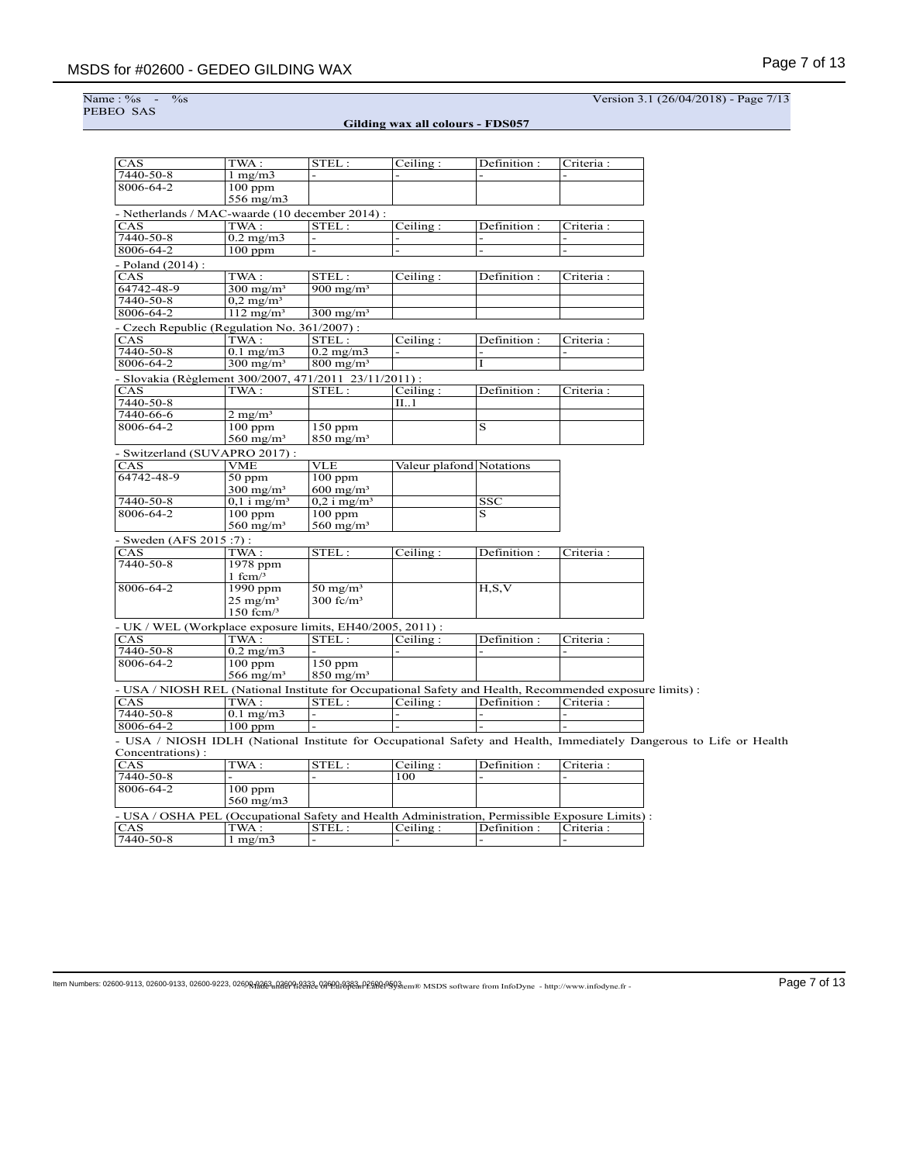Name : %<br>PEBEO SAS

 $\frac{1}{268}$  Version 3.1 (26/04/2018) - Page 7/13

**Gilding wax all colours - FDS057**

| CAS                                                                                                      | TWA:                      | STEL:                     | Ceiling:                 | Definition:             | Criteria : |                                                                                                                    |
|----------------------------------------------------------------------------------------------------------|---------------------------|---------------------------|--------------------------|-------------------------|------------|--------------------------------------------------------------------------------------------------------------------|
| 7440-50-8                                                                                                | $1 \text{ mg/m}$          |                           |                          |                         |            |                                                                                                                    |
| 8006-64-2                                                                                                | $100$ ppm<br>556 mg/m3    |                           |                          |                         |            |                                                                                                                    |
| - Netherlands / MAC-waarde (10 december 2014) :                                                          |                           |                           |                          |                         |            |                                                                                                                    |
| CAS                                                                                                      | TWA:                      | STEL:                     | Ceiling:                 | Definition:             | Criteria : |                                                                                                                    |
| $7440 - 50 - 8$                                                                                          | $0.2$ mg/m $3$            |                           |                          |                         |            |                                                                                                                    |
| 8006-64-2                                                                                                | $100$ ppm                 |                           |                          |                         |            |                                                                                                                    |
| - Poland (2014) :                                                                                        |                           |                           |                          |                         |            |                                                                                                                    |
| CAS                                                                                                      | TWA:                      | STEL:                     | Ceiling:                 | Definition:             | Criteria:  |                                                                                                                    |
| 64742-48-9                                                                                               | $300 \text{ mg/m}^3$      | $900 \text{ mg/m}^3$      |                          |                         |            |                                                                                                                    |
| 7440-50-8                                                                                                | $0.2 \text{ mg/m}^3$      |                           |                          |                         |            |                                                                                                                    |
| 8006-64-2                                                                                                | $112$ mg/m <sup>3</sup>   | $300 \text{ mg/m}^3$      |                          |                         |            |                                                                                                                    |
|                                                                                                          |                           |                           |                          |                         |            |                                                                                                                    |
| - Czech Republic (Regulation No. 361/2007) :<br>CAS                                                      | TWA:                      | STEL:                     | Ceiling:                 | Definition:             |            |                                                                                                                    |
| 7440-50-8                                                                                                | $0.1$ mg/m $3$            | $0.2 \text{ mg/m}$        |                          |                         | Criteria : |                                                                                                                    |
| 8006-64-2                                                                                                | $300$ mg/m <sup>3</sup>   | $800$ mg/m <sup>3</sup>   |                          | I                       |            |                                                                                                                    |
|                                                                                                          |                           |                           |                          |                         |            |                                                                                                                    |
| - Slovakia (Règlement 300/2007, 471/2011 23/11/2011) :                                                   |                           |                           |                          |                         |            |                                                                                                                    |
| CAS                                                                                                      | TWA:                      | STEL:                     | Ceiling:                 | Definition:             | Criteria:  |                                                                                                                    |
| 7440-50-8                                                                                                |                           |                           | II1                      |                         |            |                                                                                                                    |
| 7440-66-6                                                                                                | $2 \text{ mg/m}^3$        |                           |                          |                         |            |                                                                                                                    |
| 8006-64-2                                                                                                | $\overline{10}0$ ppm      | $150$ ppm                 |                          | $\overline{\mathbf{s}}$ |            |                                                                                                                    |
|                                                                                                          | 560 mg/m <sup>3</sup>     | $850$ mg/m <sup>3</sup>   |                          |                         |            |                                                                                                                    |
| Switzerland (SUVAPRO 2017):                                                                              |                           |                           |                          |                         |            |                                                                                                                    |
| CAS                                                                                                      | VME                       | VLE                       | Valeur plafond Notations |                         |            |                                                                                                                    |
| 64742-48-9                                                                                               | $50$ ppm                  | $100$ ppm                 |                          |                         |            |                                                                                                                    |
|                                                                                                          | $300 \text{ mg/m}^3$      | $600 \text{ mg/m}^3$      |                          |                         |            |                                                                                                                    |
| 7440-50-8                                                                                                | $0,1$ i mg/m <sup>3</sup> | $0,2$ i mg/m <sup>3</sup> |                          | $\overline{\text{SSC}}$ |            |                                                                                                                    |
| 8006-64-2                                                                                                | $100$ ppm                 | $100$ ppm                 |                          | $\overline{\mathrm{s}}$ |            |                                                                                                                    |
|                                                                                                          | $560$ mg/m <sup>3</sup>   | $560$ mg/m <sup>3</sup>   |                          |                         |            |                                                                                                                    |
| - Sweden (AFS 2015:7):                                                                                   |                           |                           |                          |                         |            |                                                                                                                    |
| CAS                                                                                                      | TWA:                      | STEL:                     | Ceiling:                 | Definition:             | Criteria:  |                                                                                                                    |
| 7440-50-8                                                                                                | 1978 ppm<br>1 fcm $/3$    |                           |                          |                         |            |                                                                                                                    |
| 8006-64-2                                                                                                | $1990$ ppm                | $50 \text{ mg/m}^3$       |                          | H, S, V                 |            |                                                                                                                    |
|                                                                                                          | $25 \text{ mg/m}^3$       | $300$ fc/m <sup>3</sup>   |                          |                         |            |                                                                                                                    |
|                                                                                                          | $150$ fcm $/3$            |                           |                          |                         |            |                                                                                                                    |
| - UK / WEL (Workplace exposure limits, EH40/2005, 2011) :                                                |                           |                           |                          |                         |            |                                                                                                                    |
| CAS                                                                                                      | TWA:                      | STEL:                     | Ceiling:                 | Definition:             | Criteria:  |                                                                                                                    |
| 7440-50-8                                                                                                | $0.2$ mg/m $3$            |                           |                          |                         |            |                                                                                                                    |
| 8006-64-2                                                                                                | $100$ ppm                 | $150$ ppm                 |                          |                         |            |                                                                                                                    |
|                                                                                                          | 566 mg/m <sup>3</sup>     | $850$ mg/m <sup>3</sup>   |                          |                         |            |                                                                                                                    |
| - USA / NIOSH REL (National Institute for Occupational Safety and Health, Recommended exposure limits) : |                           |                           |                          |                         |            |                                                                                                                    |
| CAS                                                                                                      | TWA:                      | STEL:                     | Ceiling:                 | Definition:             | Criteria : |                                                                                                                    |
| 7440-50-8                                                                                                | $0.1$ mg/m $3$            |                           |                          |                         |            |                                                                                                                    |
| 8006-64-2                                                                                                | $100$ ppm                 |                           |                          |                         |            |                                                                                                                    |
|                                                                                                          |                           |                           |                          |                         |            | - USA / NIOSH IDLH (National Institute for Occupational Safety and Health, Immediately Dangerous to Life or Health |
| Concentrations):                                                                                         |                           |                           |                          |                         |            |                                                                                                                    |
| CAS                                                                                                      | TWA:                      | STEL:                     | Ceiling:                 | Definition:             | Criteria : |                                                                                                                    |
| 7440-50-8                                                                                                |                           |                           | 100                      |                         |            |                                                                                                                    |
| 8006-64-2                                                                                                | $100$ ppm                 |                           |                          |                         |            |                                                                                                                    |
|                                                                                                          | $560$ mg/m $3$            |                           |                          |                         |            |                                                                                                                    |
|                                                                                                          |                           |                           |                          |                         |            |                                                                                                                    |
| - USA / OSHA PEL (Occupational Safety and Health Administration, Permissible Exposure Limits) :          |                           |                           |                          |                         |            |                                                                                                                    |
| CAS                                                                                                      | TWA:                      | STEL:                     | Ceiling:                 | Definition:             | Criteria:  |                                                                                                                    |
| 7440-50-8                                                                                                | $1 \text{ mg/m}$          | $\overline{a}$            |                          |                         |            |                                                                                                                    |

 $\textbf{Page 7 of 13}$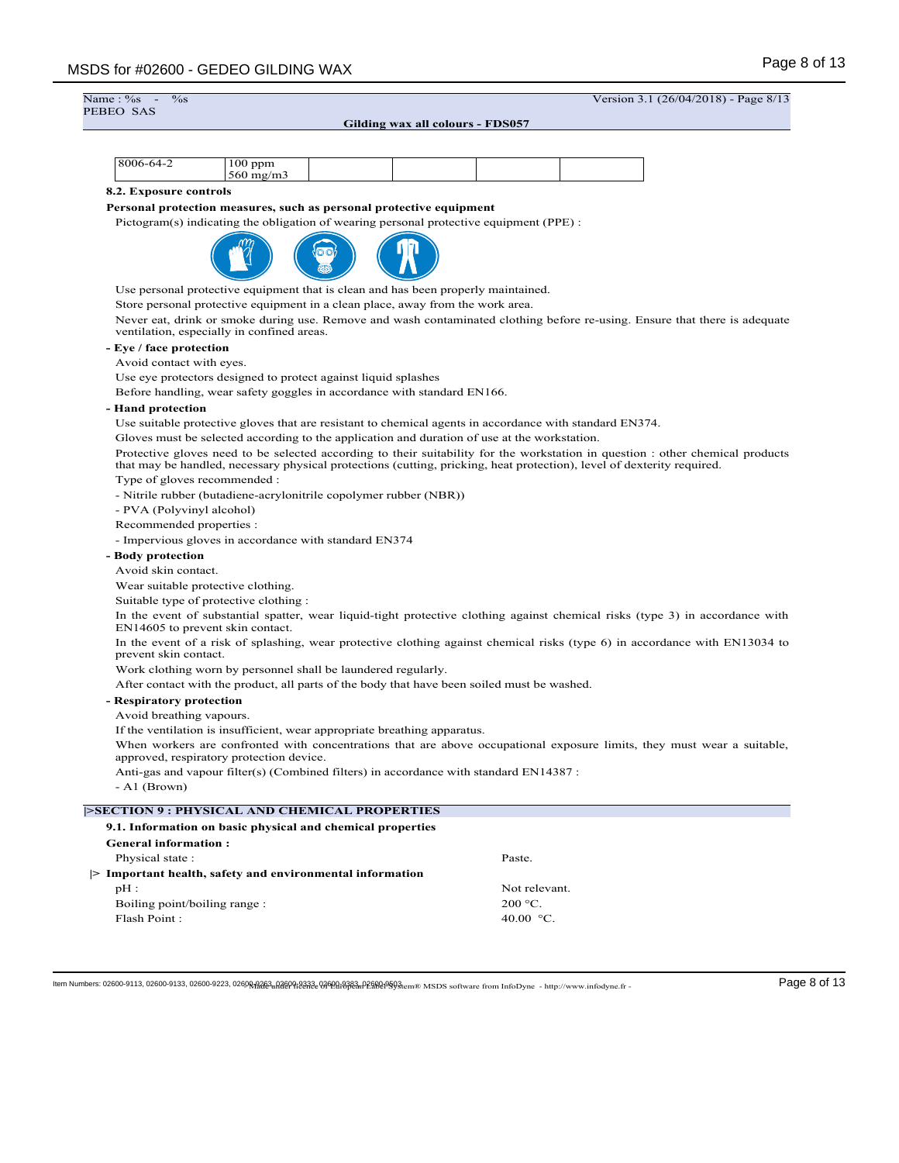$\frac{\%}{\%}$  -  $\frac{1}{26}$  Version 3.1 (26/04/2018) - Page 8/13 Name: %<br>PEBEO SAS **Gilding wax all colours - FDS057** 8006-64-2 100 ppm 560 mg/m3 **8.2. Exposure controls Personal protection measures, such as personal protective equipment** Pictogram(s) indicating the obligation of wearing personal protective equipment (PPE) : Use personal protective equipment that is clean and has been properly maintained. Store personal protective equipment in a clean place, away from the work area. Never eat, drink or smoke during use. Remove and wash contaminated clothing before re-using. Ensure that there is adequate ventilation, especially in confined areas. **- Eye / face protection** Avoid contact with eyes. Use eye protectors designed to protect against liquid splashes Before handling, wear safety goggles in accordance with standard EN166. **- Hand protection** Use suitable protective gloves that are resistant to chemical agents in accordance with standard EN374. Gloves must be selected according to the application and duration of use at the workstation. Protective gloves need to be selected according to their suitability for the workstation in question : other chemical products that may be handled, necessary physical protections (cutting, pricking, heat protection), level of dexterity required. Type of gloves recommended : - Nitrile rubber (butadiene-acrylonitrile copolymer rubber (NBR)) - PVA (Polyvinyl alcohol) Recommended properties : - Impervious gloves in accordance with standard EN374 **- Body protection** Avoid skin contact. Wear suitable protective clothing. Suitable type of protective clothing : In the event of substantial spatter, wear liquid-tight protective clothing against chemical risks (type 3) in accordance with EN14605 to prevent skin contact. In the event of a risk of splashing, wear protective clothing against chemical risks (type 6) in accordance with EN13034 to prevent skin contact. Work clothing worn by personnel shall be laundered regularly. After contact with the product, all parts of the body that have been soiled must be washed. **- Respiratory protection** Avoid breathing vapours. If the ventilation is insufficient, wear appropriate breathing apparatus. When workers are confronted with concentrations that are above occupational exposure limits, they must wear a suitable, approved, respiratory protection device. Anti-gas and vapour filter(s) (Combined filters) in accordance with standard EN14387 : - A1 (Brown) **|>SECTION 9 : PHYSICAL AND CHEMICAL PROPERTIES 9.1. Information on basic physical and chemical properties General information :** Physical state : Paste. **|> Important health, safety and environmental information** pH : Not relevant. Boiling point/boiling range : 200 °C. Flash Point : 40.00 °C.

 $\textbf{Hem Numbers: } 02600-9113, 02600-9133, 02600-9223, 02600-9223, 02600-9223, 02600-9223, 02600-9223, 02600-9223, 02600-9223, 02600-9223, 02600-9233, 02600-9233, 02600-9233, 02600-9233, 02600-9233, 02600-9233, 02600-9233, 02600-$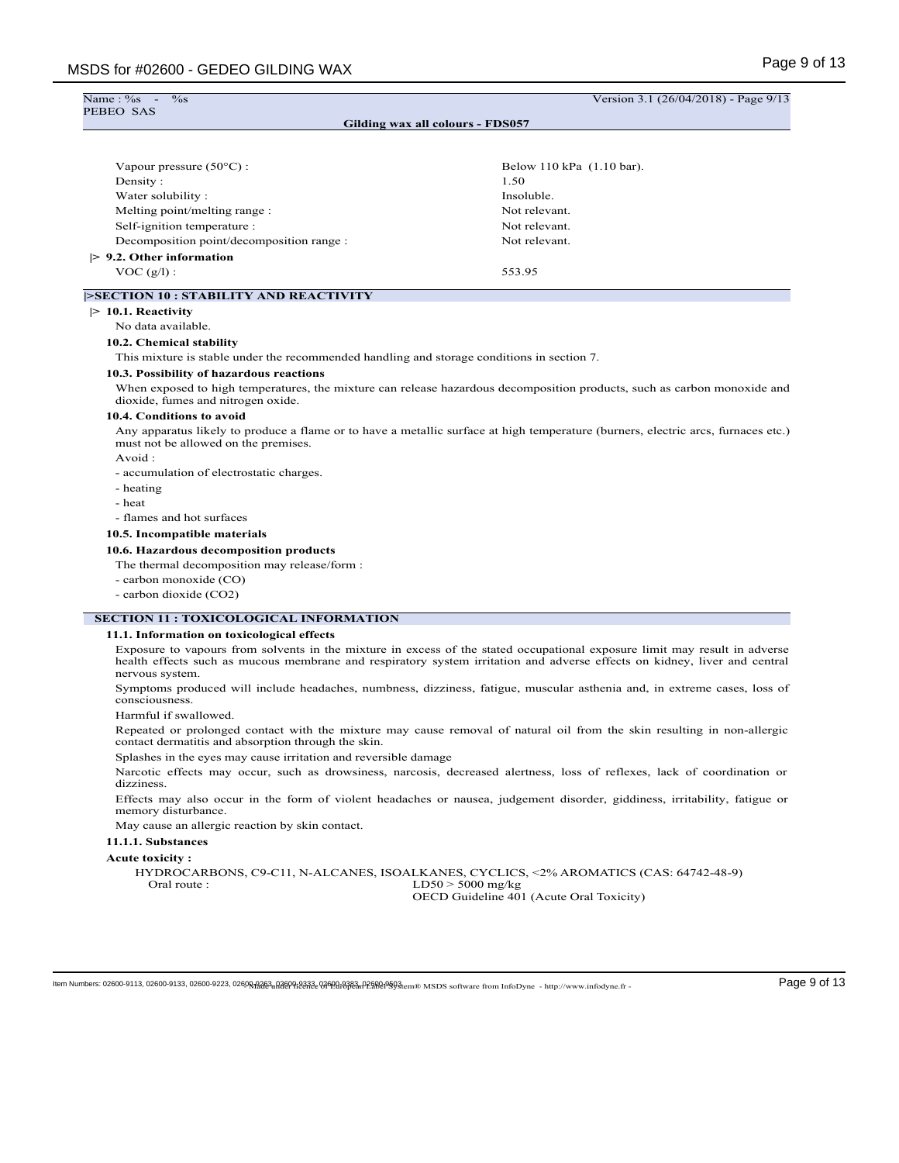| PEBEO SAS                                        | Gilding wax all colours - FDS057 |
|--------------------------------------------------|----------------------------------|
|                                                  |                                  |
| Vapour pressure $(50^{\circ}$ C) :               | Below 110 kPa (1.10 bar).        |
| Density:                                         | 1.50                             |
| Water solubility:                                | Insoluble.                       |
| Melting point/melting range:                     | Not relevant.                    |
| Self-ignition temperature :                      | Not relevant.                    |
| Decomposition point/decomposition range :        | Not relevant.                    |
| $> 9.2$ . Other information                      |                                  |
| $VOC(g/l)$ :                                     | 553.95                           |
| <b>&gt;SECTION 10 : STABILITY AND REACTIVITY</b> |                                  |
| $> 10.1$ . Reactivity                            |                                  |
| No data available.                               |                                  |
| 10.2. Chemical stability                         |                                  |

This mixture is stable under the recommended handling and storage conditions in section 7.

#### **10.3. Possibility of hazardous reactions**

When exposed to high temperatures, the mixture can release hazardous decomposition products, such as carbon monoxide and dioxide, fumes and nitrogen oxide.

### **10.4. Conditions to avoid**

Any apparatus likely to produce a flame or to have a metallic surface at high temperature (burners, electric arcs, furnaces etc.) must not be allowed on the premises.

Avoid :

- accumulation of electrostatic charges.

- heating
- heat

- flames and hot surfaces

#### **10.5. Incompatible materials**

#### **10.6. Hazardous decomposition products**

The thermal decomposition may release/form :

- carbon monoxide (CO)

- carbon dioxide (CO2)

#### **SECTION 11 : TOXICOLOGICAL INFORMATION**

#### **11.1. Information on toxicological effects**

Exposure to vapours from solvents in the mixture in excess of the stated occupational exposure limit may result in adverse health effects such as mucous membrane and respiratory system irritation and adverse effects on kidney, liver and central nervous system.

Symptoms produced will include headaches, numbness, dizziness, fatigue, muscular asthenia and, in extreme cases, loss of consciousness.

Harmful if swallowed.

Repeated or prolonged contact with the mixture may cause removal of natural oil from the skin resulting in non-allergic contact dermatitis and absorption through the skin.

Splashes in the eyes may cause irritation and reversible damage

Narcotic effects may occur, such as drowsiness, narcosis, decreased alertness, loss of reflexes, lack of coordination or dizziness.

Effects may also occur in the form of violent headaches or nausea, judgement disorder, giddiness, irritability, fatigue or memory disturbance.

May cause an allergic reaction by skin contact.

## **11.1.1. Substances**

#### **Acute toxicity :**

HYDROCARBONS, C9-C11, N-ALCANES, ISOALKANES, CYCLICS, <2% AROMATICS (CAS: 64742-48-9) Oral route : LD50 > 5000 mg/kg OECD Guideline 401 (Acute Oral Toxicity)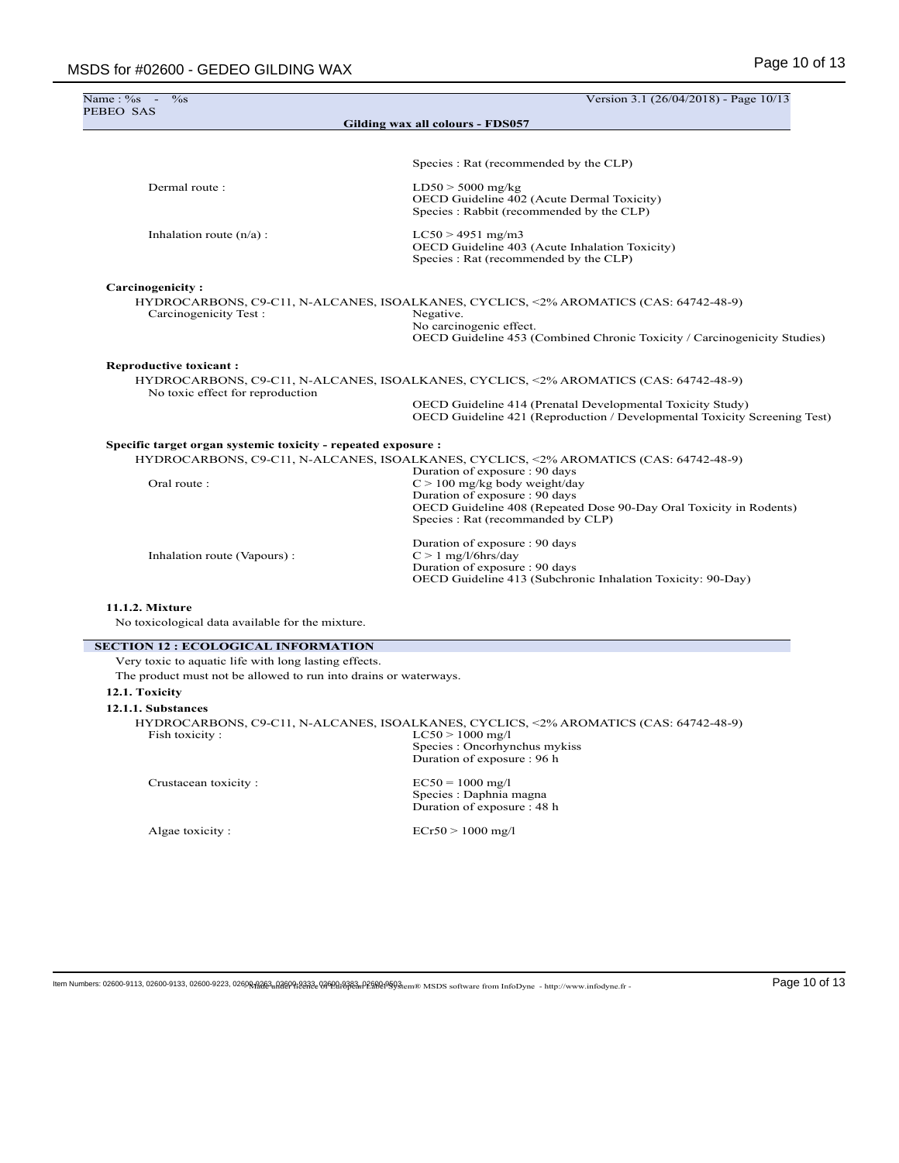| Name: $\frac{6}{5}$ -<br>$\%$ s                                  | Version 3.1 (26/04/2018) - Page 10/13                                                                                                                                                                     |
|------------------------------------------------------------------|-----------------------------------------------------------------------------------------------------------------------------------------------------------------------------------------------------------|
| PEBEO SAS                                                        | Gilding wax all colours - FDS057                                                                                                                                                                          |
|                                                                  |                                                                                                                                                                                                           |
|                                                                  | Species : Rat (recommended by the CLP)                                                                                                                                                                    |
| Dermal route:                                                    | $LD50 > 5000$ mg/kg<br>OECD Guideline 402 (Acute Dermal Toxicity)<br>Species: Rabbit (recommended by the CLP)                                                                                             |
| Inhalation route $(n/a)$ :                                       | $LC50 > 4951$ mg/m3<br>OECD Guideline 403 (Acute Inhalation Toxicity)<br>Species : Rat (recommended by the CLP)                                                                                           |
| Carcinogenicity:                                                 |                                                                                                                                                                                                           |
| Carcinogenicity Test:                                            | HYDROCARBONS, C9-C11, N-ALCANES, ISOALKANES, CYCLICS, <2% AROMATICS (CAS: 64742-48-9)<br>Negative.<br>No carcinogenic effect.<br>OECD Guideline 453 (Combined Chronic Toxicity / Carcinogenicity Studies) |
| <b>Reproductive toxicant:</b>                                    |                                                                                                                                                                                                           |
| No toxic effect for reproduction                                 | HYDROCARBONS, C9-C11, N-ALCANES, ISOALKANES, CYCLICS, <2% AROMATICS (CAS: 64742-48-9)                                                                                                                     |
|                                                                  | OECD Guideline 414 (Prenatal Developmental Toxicity Study)<br>OECD Guideline 421 (Reproduction / Developmental Toxicity Screening Test)                                                                   |
| Specific target organ systemic toxicity - repeated exposure :    |                                                                                                                                                                                                           |
|                                                                  | HYDROCARBONS, C9-C11, N-ALCANES, ISOALKANES, CYCLICS, <2% AROMATICS (CAS: 64742-48-9)<br>Duration of exposure : 90 days                                                                                   |
| Oral route:                                                      | $C > 100$ mg/kg body weight/day                                                                                                                                                                           |
|                                                                  | Duration of exposure : 90 days                                                                                                                                                                            |
|                                                                  | OECD Guideline 408 (Repeated Dose 90-Day Oral Toxicity in Rodents)<br>Species : Rat (recommanded by CLP)                                                                                                  |
|                                                                  | Duration of exposure : 90 days                                                                                                                                                                            |
| Inhalation route (Vapours):                                      | $C > 1$ mg/l/6hrs/day<br>Duration of exposure : 90 days                                                                                                                                                   |
|                                                                  | OECD Guideline 413 (Subchronic Inhalation Toxicity: 90-Day)                                                                                                                                               |
| 11.1.2. Mixture                                                  |                                                                                                                                                                                                           |
| No toxicological data available for the mixture.                 |                                                                                                                                                                                                           |
| <b>SECTION 12 : ECOLOGICAL INFORMATION</b>                       |                                                                                                                                                                                                           |
| Very toxic to aquatic life with long lasting effects.            |                                                                                                                                                                                                           |
| The product must not be allowed to run into drains or waterways. |                                                                                                                                                                                                           |
| 12.1. Toxicity                                                   |                                                                                                                                                                                                           |
| 12.1.1. Substances                                               |                                                                                                                                                                                                           |

|                | HYDROCARBONS, C9-C11, N-ALCANES, ISOALKANES, CYCLICS, <2% AROMATICS (CAS: 64742-48-9) |
|----------------|---------------------------------------------------------------------------------------|
| Fish toxicity: | $LC50 > 1000$ mg/l                                                                    |
|                | Species : Oncorhynchus mykiss                                                         |
|                | Duration of exposure : 96 h                                                           |

Crustacean toxicity : EC50 = 1000 mg/l Species : Daphnia magna Duration of exposure : 48 h

Algae toxicity : ECr50 > 1000 mg/l

 $\textbf{Item Numbers: } 02600-9113, 02600-9133, 02600-9223, 02600-9223, 02600-9223, 02600-9223, 02600-9223, 02600-9223, 02600-9223, 02600-9233, 02600-9233, 02600-9233, 02600-9233, 02600-9233, 02600-9233, 02600-9233, 02600-9233, 02600-9$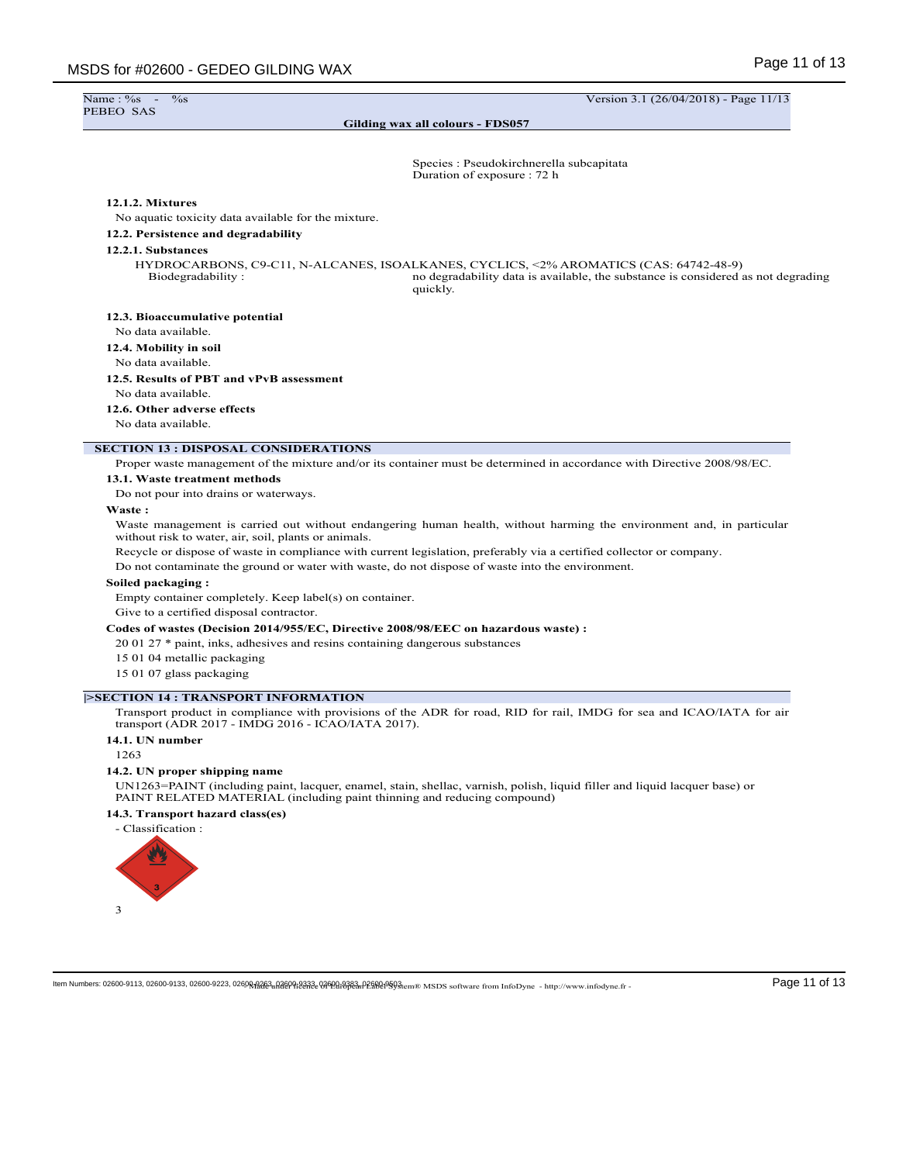$\%$ s -  $\frac{1}{26}$  Version 3.1 (26/04/2018) - Page 11/13

**Gilding wax all colours - FDS057**

Species : Pseudokirchnerella subcapitata

# Duration of exposure : 72 h

## **12.1.2. Mixtures**

No aquatic toxicity data available for the mixture.

## **12.2. Persistence and degradability**

#### **12.2.1. Substances**

HYDROCARBONS, C9-C11, N-ALCANES, ISOALKANES, CYCLICS, <2% AROMATICS (CAS: 64742-48-9) Biodegradability : no degradability data is available, the substance is considered as not degrading quickly.

#### **12.3. Bioaccumulative potential**

No data available.

## **12.4. Mobility in soil**

No data available.

# **12.5. Results of PBT and vPvB assessment**

No data available.

## **12.6. Other adverse effects**

No data available.

#### **SECTION 13 : DISPOSAL CONSIDERATIONS**

Proper waste management of the mixture and/or its container must be determined in accordance with Directive 2008/98/EC.

#### **13.1. Waste treatment methods**

Do not pour into drains or waterways.

#### **Waste :**

Waste management is carried out without endangering human health, without harming the environment and, in particular without risk to water, air, soil, plants or animals.

Recycle or dispose of waste in compliance with current legislation, preferably via a certified collector or company.

Do not contaminate the ground or water with waste, do not dispose of waste into the environment.

#### **Soiled packaging :**

Empty container completely. Keep label(s) on container.

Give to a certified disposal contractor.

## **Codes of wastes (Decision 2014/955/EC, Directive 2008/98/EEC on hazardous waste) :**

20 01 27 \* paint, inks, adhesives and resins containing dangerous substances

- 15 01 04 metallic packaging
- 15 01 07 glass packaging

## **|>SECTION 14 : TRANSPORT INFORMATION**

Transport product in compliance with provisions of the ADR for road, RID for rail, IMDG for sea and ICAO/IATA for air transport (ADR 2017 - IMDG 2016 - ICAO/IATA 2017).

# **14.1. UN number**

1263

## **14.2. UN proper shipping name**

UN1263=PAINT (including paint, lacquer, enamel, stain, shellac, varnish, polish, liquid filler and liquid lacquer base) or PAINT RELATED MATERIAL (including paint thinning and reducing compound)

# **14.3. Transport hazard class(es)**

- Classification :

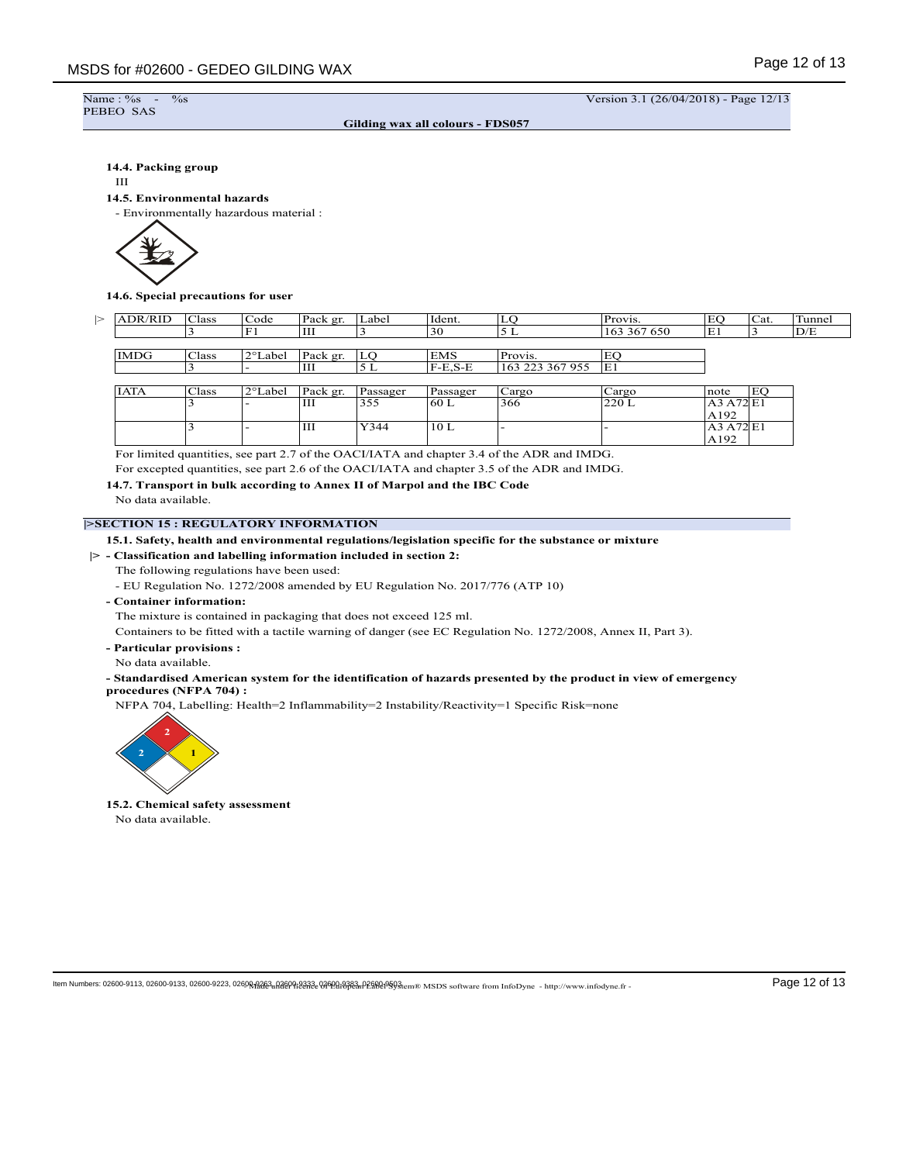```
Name : %s<br>PEBEO SAS
```
 $\%$ s -  $\%$  Version 3.1 (26/04/2018) - Page 12/13

A192

A192

E1

**Gilding wax all colours - FDS057**

## **14.4. Packing group**

#### III

## **14.5. Environmental hazards**

- Environmentally hazardous material :



**14.6. Special precautions for user**

| <b>ADR/RID</b> | Class  | $\sim$<br>  Code      | Pack er  | Label | Ident.          | ≖       | Provis.        | EC                   | 'Cat. | tunne. |
|----------------|--------|-----------------------|----------|-------|-----------------|---------|----------------|----------------------|-------|--------|
|                |        |                       | Ш        |       | $\Omega$<br>.5U |         | 367 650<br>163 | $\blacksquare$<br>E. |       | D/E    |
|                |        |                       |          |       |                 |         |                |                      |       |        |
| <b>IMDG</b>    | 'Class | $\gamma$ ot<br>'Label | Pack gr. | ∽     | EMS             | Provis. | . LA           |                      |       |        |

 $3$  - III Y344 10 L - - A3 A72

|             |       |                   | <b>TTT</b><br>-- |          | $\sim$ $\sim$<br>ТT.<br>.S-E<br>. | 223 367 955<br>ாட | E1    |      |                       |
|-------------|-------|-------------------|------------------|----------|-----------------------------------|-------------------|-------|------|-----------------------|
|             |       |                   |                  |          |                                   |                   |       |      |                       |
| <b>IATA</b> | Class | $2^{\circ}$ Label | Pack er.         | Passager | Passager                          | Cargo             | Cargo | note | гo <sup>1</sup><br>r. |
|             |       |                   | <b>TTT</b><br>Ш  | .        | 160L                              | 366               | 220 L |      | ЕI                    |

For limited quantities, see part 2.7 of the OACI/IATA and chapter 3.4 of the ADR and IMDG.

For excepted quantities, see part 2.6 of the OACI/IATA and chapter 3.5 of the ADR and IMDG.

**14.7. Transport in bulk according to Annex II of Marpol and the IBC Code** No data available.

## **|>SECTION 15 : REGULATORY INFORMATION**

## **15.1. Safety, health and environmental regulations/legislation specific for the substance or mixture**

**|> - Classification and labelling information included in section 2:**

The following regulations have been used:

- EU Regulation No. 1272/2008 amended by EU Regulation No. 2017/776 (ATP 10)
- **Container information:**

The mixture is contained in packaging that does not exceed 125 ml.

Containers to be fitted with a tactile warning of danger (see EC Regulation No. 1272/2008, Annex II, Part 3).

- **Particular provisions :**
- No data available.

## **- Standardised American system for the identification of hazards presented by the product in view of emergency procedures (NFPA 704) :**

NFPA 704, Labelling: Health=2 Inflammability=2 Instability/Reactivity=1 Specific Risk=none



**15.2. Chemical safety assessment** No data available.